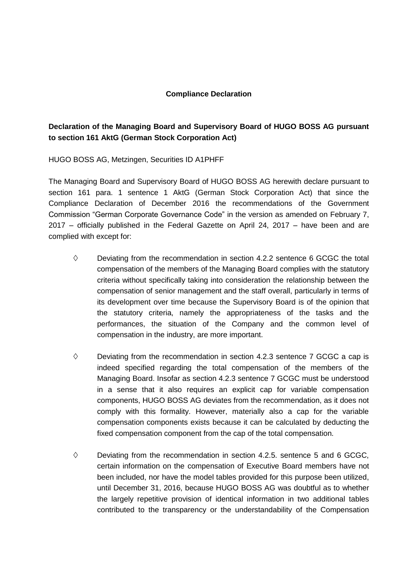## **Compliance Declaration**

## **Declaration of the Managing Board and Supervisory Board of HUGO BOSS AG pursuant to section 161 AktG (German Stock Corporation Act)**

HUGO BOSS AG, Metzingen, Securities ID A1PHFF

The Managing Board and Supervisory Board of HUGO BOSS AG herewith declare pursuant to section 161 para. 1 sentence 1 AktG (German Stock Corporation Act) that since the Compliance Declaration of December 2016 the recommendations of the Government Commission "German Corporate Governance Code" in the version as amended on February 7, 2017 – officially published in the Federal Gazette on April 24, 2017 – have been and are complied with except for:

- $\diamond$  Deviating from the recommendation in section 4.2.2 sentence 6 GCGC the total compensation of the members of the Managing Board complies with the statutory criteria without specifically taking into consideration the relationship between the compensation of senior management and the staff overall, particularly in terms of its development over time because the Supervisory Board is of the opinion that the statutory criteria, namely the appropriateness of the tasks and the performances, the situation of the Company and the common level of compensation in the industry, are more important.
- $\diamond$  Deviating from the recommendation in section 4.2.3 sentence 7 GCGC a cap is indeed specified regarding the total compensation of the members of the Managing Board. Insofar as section 4.2.3 sentence 7 GCGC must be understood in a sense that it also requires an explicit cap for variable compensation components, HUGO BOSS AG deviates from the recommendation, as it does not comply with this formality. However, materially also a cap for the variable compensation components exists because it can be calculated by deducting the fixed compensation component from the cap of the total compensation.
- $\diamond$  Deviating from the recommendation in section 4.2.5. sentence 5 and 6 GCGC. certain information on the compensation of Executive Board members have not been included, nor have the model tables provided for this purpose been utilized, until December 31, 2016, because HUGO BOSS AG was doubtful as to whether the largely repetitive provision of identical information in two additional tables contributed to the transparency or the understandability of the Compensation